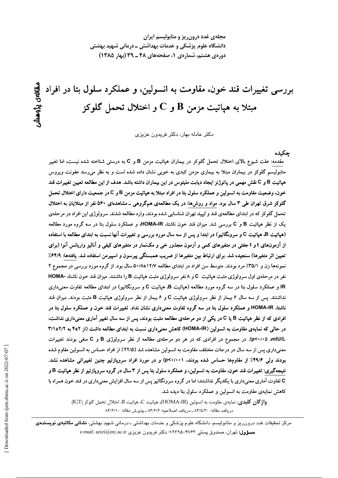مجلهی غدد درون ریز و متابولیسم ایران دانشگاه علوم پزشکی و خدمات بهداشتی ــ درمانی شهید بهشتی دوره ی هشتم، شماره ی ۱، صفحههای ۴۸ ـ ۳۹ (بهار ۱۳۸۵)

بررسی تغییرات قند خون، مقاومت به انسولین، و عملکرد سلول بتا در افراد <u>ھالەي نۆوھىتىر</u> مبتلا به هپاتیت مزمن  ${\bf B}$  و  ${\bf C}$  و اختلال تحمل گلوکز

دکتر عادله بهار، دکتر فریدون عزیزی

حكىدە

مقدمه: علت شیوع بالای اختلال تحمل گلوکز در بیماران هپاتیت مزمن B و C به درستی شناخته شده نیست، اما تغییر متابولیسم گلوکز در بیماران مبتلا به بیماری مزمن کبدی به خوبی نشان داده شده است و به نظر میرسد عفونت ویروس هپاتیت B و C نقش مهمی در پاتوژنز ایجاد دیابت ملیتوس در این بیماران داشته باشد. هدف از این مطالعه تعیین تغییرات قند خون، وضعیت مقاومت به انسولین و عملکرد سلول بتا در افراد مبتلا به هپاتیت مزمن B و C در جمعیت دارای اختلال تحمل گلوکز شرق تهران طی ۳ سال بود. مواد و روش۱۰ در یک مطالعهی همگروهی ـ مشاهدهای ۵۶۰ نفر از مبتلایان به اختلال تحمل گلوکز که در ابتدای مطالعهی قند و لیپید تهران شناسایی شده بودند، وارد مطالعه شدند. سرولوژی این افراد در مرحلهی یک از نظر هپاتیت B و C بررسی شد. میزان قند خون ناشتا، HOMA-IR، و عملکرد سلول بتا در سه گروه مورد مطالعه (هپاتیت B، هپاتیت C و سرونگاتیو) در ابتدا و پس از سه سال مورد بررسی و تغییرات آنها نسبت به ابتدای مطالعه با استفاده از آزمونهای t و t جفتی در متغیرهای کمی و آزمون مجذور خی و مکنمار در متغیرهای کیفی و آنالیز واریانس آنوا (برای تعیین اثر متغیرها) سنجیده شد. برای ارتباط بین متغیرها از ضریب همبستگی پیرسون و اسپیرمن استفاده شد. یافتهها: ۶۴/۹٪ نمونهها زن و ٣۵/١٪ مرد بودند. متوسط سن افراد در ابتدای مطالعه ١٢/٧±٥٠/٨ سال بود. از گروه مورد بررسی در مجموع ٢ نفر در مرحلهی اول سرولوژی مثبت هیاتیت C و ۸نفر سرولوژی مثبت هیاتیت B را داشتند. میزان قند خون ناشتا، -HOMA IR و عملکرد سلول بتا در سه گروه مورد مطالعه (هپاتیت B، هپاتیت C و سرونگاتیو) در ابتدای مطالعه تفاوت معنیداری نداشتند. پس از سه سال ۶ بیمار از نظر سرولوژی هپاتیت C و ۶ بیمار از نظر سرولوژی هپاتیت B مثبت بودند. میزان قند ناشتا، HOMA-IR و عملکرد سلول بتا در سه گروه تفاوت معنیداری نشان نداد. تغییرات قند خون و عملکرد سلول بتا در افرادی که از نظر هپاتیت B یا C در یکی از دو مرحلهی مطالعه مثبت بودند، پس از سه سال تغییر آماری معنیداری نداشت، در حالی که نمایهی مقاومت به انسولین (HOMA-IR) کاهش معنیداری نسبت به ابتدای مطالعه داشت (از ۲±۴ به ۲/۱±۳/۱ p<۰/۰۵ ،mlU/L). در مجموع در افرادی که در هر دو مرحلهی مطالعه از نظر سرولوژی B و C منفی بودند تغییرات معنیداری پس از سه سال در درجات مختلف مقاومت به انسولین مشاهده شد (۲۲/۵٪ از افراد حساس به انسولین مقاوم شده بودند ولی ۴۹/۶٪ از مقاومها حساس شده بودند، p<۰/۰۰۱) و در مورد افراد سروپازتیو چنین تغییراتی مشاهده نشد. نتيجهگيري: تغييرات قند خون، مقاومت به انسولين، و عملكرد سلول بتا يس از ٣ سال در گروه سرويازتيو از نظر هياتيت B و C تفاوت آماری معنیداری با یکدیگر نداشتند؛ اما در گروه سرونگاتیو پس از سه سال افزایش معنیداری در قند خون همراه با کاهش نمایهی مقاومت به انسولین و عملکرد سلول بتا دیده شد.

واژگان كليدى: نمايهى مقاومت به انسولين (HOMA-IR)، هياتيت C، هياتيت B، اختلال تحمل گلوكز (IGT) دريافت مقاله: ٨۴/٥/٣٠ ـ دريافت اصلاحيه: ٨۴/۶/۶ ـ پذيرش مقاله: ٨۴/۶/١٠

مرکز تحقیقات غدد درون٫یز و متابولیسم، دانشگاه علوم پزشکی و خدمات بهداشتی ـ درمانی شهید بهشتی، **نشانی مکاتبهی نویسندهی** e-mail: azizi@erc.ac.ir دکتر فریدون عزیزی e-mail: azizi@erc.ac.ir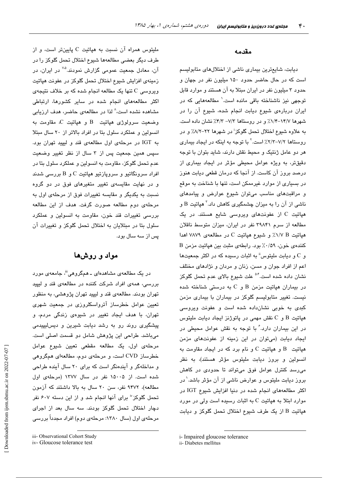ملیتوس همراه آن نسبت به هپاتیت C پایینتر است، و از طرف دیگر بعضی مطالعهها شیوع اختلال تحمل گلوکز را در آن، معادل جمعیت عمومی گزارش نمودند.<sup>۵.۷</sup> در ایران، در زمینهی افزایش شیوع اختلال تحمل گلوکز در عفونت هپاتیت ویروسی C تنها یک مطالعه انجام شده که بر خلاف نتیجهی اکثر مطالعههای انجام شده در سایر کشورها، ارتباطی مشاهده نشده است،<sup>۸</sup> لذا در مطالعهی حاضر، هدف ارزیابی  $\mathcal C$  وضعت سرولوژی هیاتت  $\mathcal B$  و هیاتت  $\mathcal C$  مقاومت به انسولین و عملکرد سلول بتا در افراد بالاتر از ٢٠ سال مبتلا به IGT در مرحلهی اول مطالعهی قند و لیپید تهران بود. سپس همین جمعیت پس از ۳ سال از نظر تغییر وضعیت عدم تحمل گلوکز، مقاومت به انسولین و عملکرد سلول بتا در افراد سرونگاتیو و سروپازتیو هپاتیت  $\rm C$  و  $\rm B$  بررسی شدند و در نهایت مقای*سهی* تغییر متغیرهای فوق در دو گروه نسبت به یکدیگر و مقایسه تغییرات فوق از مرحلهی اول به مرحلهی دوم مطالعه صورت گرفت. هدف از این مطالعه بررسی تغییرات قند خون، مقاومت به انسولین و عملکرد سلول بتا در مبتلایان به اختلال تحمل گلوکز و تغییرات آن پس از سه سال بود.

## مواد و روشها

در یک مطالعهی مشاهدهای ــ همگروهی'''، جامعهی مورد بررسی، همهی افراد شرکت کننده در مطالعهی قند و لیپید تهران بودند. مطالعهی قند و لیپید تهران پژوهشی، به منظور تعیین عوامل خطرساز آترواسکلروزی در جمعیت شهری تهران، با هدف ایجاد تغییر در شیوهی زندگی مردم، و پیشگیری روند رو به رشد دیابت شیرین و دیس لیپیدمی میباشد. طراحی این پژوهش شامل دو قسمت اصلی است. مرحلهی اول، یک مطالعه مقطعی تعیین شیوع عوامل خطرساز CVD است، و مرحلهی دوم، مطالعهای همگروهی و مداخلهگر و آیندهنگر است که برای ۲۰ سال آینده طراحی شده است. از ۱۵۰۰۵ نفر در سال ۱۳۷۷ (مرحلهی اول مطالعه)، ۹۴۷۲ نفر، سن ۲۰ سال به بالا داشتند که آزمون تحمل گلوکز" برای آنها انجام شد و از این دسته ۶۰۷ نفر دچار اختلال تحمل گلوکز بودند. سه سال بعد از اجرای مرحلهی اول (سال ۱۳۸۰: مرحلهی دوم) افراد مجدداً بررسی

### مقدمه

دیابت، شایعترین بیماری ناشی از اختلالهای متابولیسم است که در حال حاضر حدود ١۵٠ میلیون نفر در جهان و حدود ۳ میلیون نفر در ایران مبتلا به آن هستند و موارد قابل توجهی نیز ناشناخته باقی مانده است.<sup>\</sup> مطالعههایی که در ایران دربارهی شیوع دیابت انجام شده، شیوع آن را در شهرها ۰۱۴/۷–۱/۴٪ و در روستاها ۷/۳– ۴/۳٪ نشان داده است. به علاوه شیوع اختلال تحمل گلوکز<sup>:</sup> در شهرها ۲۲–۸/۲٪ و در روستاها ۷/۲-۲/۳٪ است.<sup>۲</sup> با توجه به اینکه در ایجاد بیماری هر دو عامل ژنتیک و محیط نقش دارند، شاید بتوان با توجه دقیقتر، به ویژه عوامل محیطی مؤثر در ایجاد بیماری از درصد بروز آن کاست. از آنجا که درمان قطعی دیابت هنوز در بسیاری از موارد غیرممکن است، تنها با شناخت به موقع و مراقبتهای مناسب میتوان شیوع عوارض و پیامدهای ناشمی از آن را به میزان چشمگیری کاهش داد.<sup>۲</sup> هپاتیت B و هپاتیت C از عفونتهای ویروسی شایع هستند. در یک مطالعه از سرم ۳۹۸۴۱ نفر در ایران، میزان متوسط ناقلان هپاتیت V/V B/ و شیوع هپاتیت C در مطالعهی ۷۸۷۹ اهدا كنندهي خون، ١٥٩٪ بود. رابطهي مثبت بين هياتيت مزمن B و C و دیابت ملیتوس" به اثبات رسیده که در اکثر جمعیتها اعم از افراد جوان و مسن، زنان و مردان و نژادهای مختلف نشان داده شده است.<sup>۵۰۴</sup> علت شیوع بالای عدم تحمل گلوکز در بیماران هپاتیت مزمن  $B$  و  $C$  به درستی شناخته شده نیست. تغییر متابولیسم گلوکز در بیماران با بیماری مزمن کبدی به خوبی نشانداده شده است و عفونت ویروسی  $C_0$  هپاتیت  $B_1$  و  $C_2$  نقش مهمی در پاتوژنز ایجاد دیابت ملیتوس در این بیماران دارد. ٔ با توجه به نقش عوامل محیطی در ابجاد دیایت (میتوان در این زمینه از عفونتهای مزمن مپاتیت  $\, {\bf B} \,$  و هپاتیت  $\, {\bf C} \,$  و نام برد که در ایجاد مقاومت به انسولین و بروز دیابت ملیتوس مؤثر هستند)، به نظر میرسد کنترل عوامل فوق میتواند تا حدودی در کاهش بروز دیابت ملیتوس و عوارض ناشی از آن مؤثر باشد.<sup>۱</sup> در اکثر مطالعههای انجام شده در دنیا افزایش شیوع IGT در موارد ابتلا به هپاتیت C به اثبات رسیده است ولی در مورد هپاتیت B از یک طرف شیوع اختلال تحمل گلوکز و دیابت

iii- Observational Cohort Study

iv-Gloucose tolerance test

i- Impaired gloucose tolerance

ii- Diabetes mellitus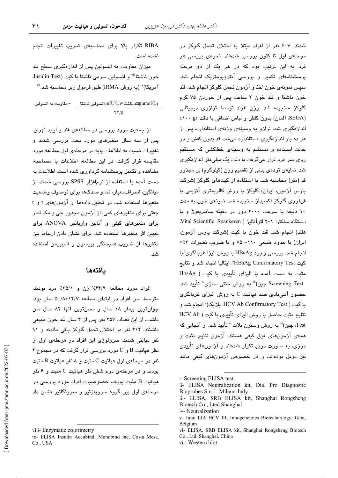RIBA تكرار بالا براى محاسبهى ضريب تغييرات انجام نشده است. میزان مقاومت به انسولین پس از اندازهگیری سطح قند خون ناشتا"" و انسولین سرمی ناشتا با کیت (Insulin Test،

آمريكا)" (به روش IRMA) طبق فرمول زير محاسبه شد." تند ناشتا×(mIU/L)انسولىن ناشتا(mIU/L) = مقاومت به انسولين

 $\frac{8}{10}$ 

از جمعیت مورد بررسی در مطالعهی قند و لیپید تهران، یس از سه سال متغیرهای مورد بحث بررسی شدند و تغییرات نسبت به اطلاعات پایه در مرحلهی اول مطالعه مورد مقایسه قرار گرفت. در این مطالعه، اطلاعات با مصاحبه، مشاهده و تکمیل پرسشنامه گرداوری شده است. اطلاعات به دست آمده با استفاده از نرمافزار SPSS بررسی شدند. از میانگین، انحراف معیار، نما و صدکها برای توصیف وضعیت متغیرها استفاده شد. در تحلیل دادهها از آزمونهای t و t جفتی برای متغیرهای کمی، از آزمون مجذور خی و مک نمار برای متغیرهای کیفی و آنالیز واریانس ANOVA برای تعیین اثر متغیرها استفاده شد. برای نشان دادن ارتباط بین متغیرها از ضریب همبستگی پیرسون و اسپیرمن استفاده شد.

## يافتهها

افراد مورد مطالعه ۶۴/۹٪ زن و ۳۵/۱٪ مرد بودند. متوسط سن افراد در ابتدای مطالعه ۵۰/۸±۸۰/۸ سال بود. جوانترین بیمار ۱۸ سال و مسنترین آنها ۸۲ سال سن داشت. از این تعداد، ۲۵۷ نفر پس از ۳ سال قند خون طبیعی داشتند، ۲۱۲ نفر در اختلال تحمل گلوکز باقی ماندند و ۹۱ نفر دیابتی شدند. سرولوژی این افراد در مرحلهی اول از نظر هپاتیت B و C مورد بررسی قرار گرفت که در مجموع ۲ نفر در مرحلهی اول هپاتیت  $\rm C$  مثبت و ۸ نفر هپاتیت  $\rm B$  مثبت بودند و در مرحلهی دوم شش نفر هیاتیت C مثبت و ۶ نفر هپاتیت B مثبت بودند. خصوصیات افراد مورد بررسی در مرحلهی اول بین گروه سرویازتیو و سرونگاتیو نشان داد شدند. ۶۰۷ نفر از افراد مبتلا به اختلال تحمل گلوکز در مرحلهی اول تا کنون بررسی شدهاند. نحوهی بررسی هر فرد به این ترتیب بود که در هر یک از دو مرحله پرسشنامهای تکمیل و بررسی آنتروپومتریک انجام شد. سپس نمونهی خون اخذ و آزمون تحمل گلوکز انجام شد. قند خون ناشتا و قند خون ۲ ساعت پس از خوردن ۷۵ گرم گلوکز سنجیده شد. وزن افراد توسط ترازوی دیجیتالی (SEGA، آلمان) بدون كفش و لباس اضافى با دقت t١٠٠ اندازهگیری شد. ترازو به وسیلهی وزنهی استاندارد، پس از هر ده بار اندازهگیری، استاندارد میشد. قد بدون کفش و در حالت ایستاده و مستقیم به وسیلهی خطکشی که مستقیم روی سر فرد قرار میگرفت با دقت یک میلی متر اندازهگیری شد. نمایهی تودهی بدنی از تقسیم وزن (کیلوگرم) بر مجذور قد (متر) محاسبه شد. با استفاده از کیتهای گلوکز (شرکت پارس آزمون، ایران) گلوکز با روش کالریمتری آنزیمی با فنآوری گلوکز اکسیداز سنجیده شد. نمونهی خون به مدت ١٠ دقيقه با سرعت ٣٠٠٠ دور در دقيقه سانتريفوژ و با دستگاه سلکترا ۱-۲ اتوآنالیز ( Vital Scientific Spankeren. هلند) انجام شد. قند خون با كيت (شركت پارس آزمون، ایران) با حدود طبیعی ١١٠- ٧۵ و با ضریب تغییرات ٣٪> انجام شد. بررسی وجود HBsAg با روش البزا غربالگری<sup>ن</sup> با كيت HBsAg Confirmatory Test"، ايتاليا انجام شد و نتايج مثبت به دست آمده با الیزای تأییدی با کیت ( HbsAg Screening Test چین)" به روش خنثی سازی″ تأیید شد. حضور آنتی بادی ضد هیاتیت C به روش الیزای غربالگری با كيت ( HCV Ab Confirmatory Test، بلژيک)" انجام شد و نتايج مثبت حاصل يا روش البزاي تأسوي يا كبت ( HCV Ab Test، چین)" به روش وسترن بلات"" تأیید شد. از آنجایی که همهی آزمونهای فوق کیفی هستند، آزمون نتایج مثبت و مرزی، به صورت دوبل تکرار شدهاند و آزمونهای تأییدی نیز دوبل بودهاند، و در خصوص آزمونهای کیفی مانند

viii- Enzymatic colorimetry

ix- ELISA Insulin Accubind, Monobind inc, Costa Mesa, Co., USA

*i*- Screening ELISA test

ii- ELISA Neutralization kit, Dia. Pro Diagnostic Bioprobes S.r. 1. Milano-Italy

iii- ELISA, SRB ELISA kit, Shanghai Rongsheng Biotech Co., Lted Shanghai

iv-Neutralization

v- Inno LIA HCV III, Innogenetoics Biotechnology, Gent, Belgium

vi- ELISA, SRB ELISA kit, Shanghai Rongsheng Biotech Co., Ltd. Shanghai, China

vii- Western blot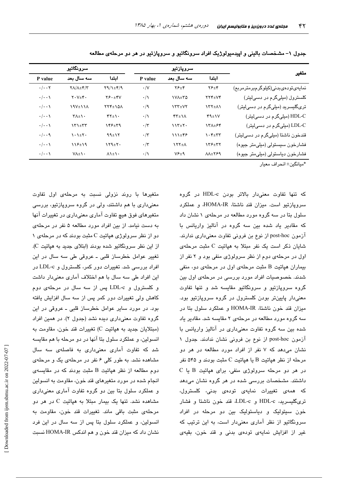|                                   | سروپازتیو                                                 |               | سرونگاتس       |                                   |                                                 |                                 |
|-----------------------------------|-----------------------------------------------------------|---------------|----------------|-----------------------------------|-------------------------------------------------|---------------------------------|
| متغير                             | امتدا                                                     | سه سال بعد    | P value        | امتدا                             | سه سال بعد                                      | P value                         |
| نمايەيتودەيىدنى(كىلوگرمېرمترمرېم) | $Y$ $E$ $+$ $Y$                                           | ۲۶±۴          | $\cdot$ /V     | $Y9/\lambda_{\pm}Y/9$             | $Y/\lambda \pm Y/Y$                             | $\cdot/\cdot\cdot$ $\mathsf{Y}$ |
| کلسترول (میلیگرم در دسیلیتر)      | $\mathsf{Y}\mathsf{Y}\mathsf{f} \pm \mathsf{V}\mathsf{Y}$ | <b>IVA±TQ</b> | $\cdot/\wedge$ | $Y \xi \cdot \pm Y V$             | $Y \cdot V_{\pm} Y \cdot$                       | $\cdot/\cdot\cdot$              |
| تریگلیسرید (میلیگرم در دسیلیتر)   | <b>ITT+11</b>                                             | $\gamma$      | $\cdot/9$      | 174±۱۵۸                           | <b>197±118</b>                                  | $\cdot/\cdot\cdot$              |
| HDL-C (میلیگرم در دسیلیتر)        | $44 \pm 10$                                               | $YY^{\pm}$    | $\cdot/\gamma$ | $YY_{\pm}$                        | $Y \wedge \pm Y$                                | $\cdot/\cdot\cdot$              |
| LDL-C (میلیگرم در دسیلیتر)        | 131±64                                                    | $117 + 7$     | $\cdot/\tau$   | 148±39                            | $\mathbf{X} \mathbf{Y} + \mathbf{Y} \mathbf{Y}$ | $\cdot/\cdot\cdot$              |
| قندخون ناشتا (میلیگرم در دسیلیتر) | $\lambda \cdot \mathfrak{k}_\pm \mathfrak{r}$             | ۱۱۱±۴۶        | $\cdot/\tau$   | $99 \pm 17$                       | $\lambda \cdot \lambda \pm 1$                   | $\cdot/\cdot\cdot$ 9            |
| فشارخون سیستولی (میلی متر جیوه)   | 138±37                                                    | $\lambda$     | $\cdot/\tau$   | $159 + 7.$                        | $112 + 19$                                      | $\cdot/\cdot\cdot$              |
| فشارخون دياستولى (ميليءتر جيوه)   | $\lambda\lambda \pm \lambda \epsilon$                     | $V F \pm 9$   | $\cdot/\gamma$ | $\lambda$ $\lambda$ + $\lambda$ + | $V \Lambda \pm V$                               | $\cdot/\cdot\cdot$              |

جدول ۱– مشخصات بالینی و اپیدمیولوژیک افراد سرونگاتیو و سروپازتیو در هر دو مرحلهی مطالعه

\*مبانگين± انحر اف معبار

که تنها تفاوت معنیدار بالاتر بودن HDL-c در گروه سروپازتیو است. میزان قند ناشتا، HOMA-IR، و عملکرد سلول بتا در سه گروه مورد مطالعه در مرحلهی ۱ نشان داد که مقادیر یاد شده بین سه گروه در انالیز واریانس با آزمون post-hoc از نوع بن فرونی تفاوت معنیداری ندارند. شایان ذکر است یک نفر مبتلا به هیاتیت C مثبت مرحلهی اول در مرحلهی دوم از نظر سرولوژی منفی بود و ۲ نفر از بيماران هياتيت B مثبت مرحلهى اول در مرحلهى دو، منفى شدند. خصوصیات افراد مورد بررسی در مرحلهی اول بین گروه سروپازتیو و سرونگاتیو مقایسه شد و تنها تفاوت معنی،دار پایینتر بودن کلسترول در گروه سروپازتیو بود. میزان قند خون ناشتا، HOMA-IR و عملکرد سلول بتا در سه گروه مورد مطالعه در مرحلهی ۲ مقایسه شد. مقادیر یاد شده بین سه گروه تفاوت معنیداری در انالیز واریانس با آزمون post-hoc از نوع بن فرونی نشان ندادند. جدول ۱ نشان میدهد که ۷ نفر از افراد مورد مطالعه در هر دو مرحله از نظر هياتيت B يا هياتيت C مثبت بودند و ۵۴۵ نفر  $C$  در هر دو مرحله سرولوژی منفی، برای هیاتیت  $B$  یا داشتند. مشخصات بررسی شده در هر گروه نشان میدهد كه همهى تغييرات نمايهى تودهى بدنى، كلسترول، تریگلیسرید، HDL-c و LDL-c، قند خون ناشتا و فشار خون سیتولیک و دیاستولیک بین دو مرحله در افراد سرونگاتیو از نظر آماری معنیدار است، به این ترتیب که غیر از افزایش نمایهی تودهی بدنی و قند خون، بقیهی

متغیرها با روند نزولی نسبت به مرحلهی اول تفاوت معنیداری با هم داشتند، ولی در گروه سروپازتیو، بررسی متغیرهای فوق هیچ تفاوت اماری معنیداری در تغییرات انها به دست نیامد. از بین افراد مورد مطالعه ۵ نفر در مرحلهی دو از نظر سرولوژی هیاتیت C مثبت بودند که در مرحلهی ۱ از این نظر سرونگاتیو شده بودند (ابتلای جدید به هیاتیت C). تغییر عوامل خطرساز قلبی ـ عروقی طی سه سال در این افراد بررسی شد. تغییرات دور کمر، کلسترول و LDL-c در  $\overline{a}$ این افراد طی سه سال با هم اختلاف اماری معنیدار داشت و کلسترول و LDL-c پس از سه سال در مرحلهی دوم کاهش ولی تغییرات دور کمر پس از سه سال افزایش یافته بود. در مورد سایر عوامل خطرساز قلبی ـ عروقی در این گروه تفاوت معنیداری دیده نشد (جدول ۲). در همین افراد (مبتلايان جديد به هپاتيت C) تغييرات قند خون، مقاومت به انسولين، و عملكرد سلول بتا آنها در دو مرحله با هم مقايسه شد که تفاوت امار*ی* معنیداری به فاصلهی سه سال مشاهده نشد. به طور کلی ۶ نفر در مرحلهی یک و مرحلهی  $c$ دوم مطالعه از نظر هیاتیت  $\rm B$  مثبت بودند که در مقایسه انجام شده در مورد متغیرهای قند خون، مقاومت به انسولین و عملکرد سلول بتا بین دو گروه تفاوت آماری معنیداری مشاهده نشد. تنها یک بیمار مبتلا به هیاتیت C در هر دو مرحلهى مثبت باقى ماند. تغييرات قند خون، مقاومت به انسولین، و عملکرد سلول بتا پس از سه سال در این فرد نشان داد که میزان قند خون و هم اندکس HOMA-IR نسبت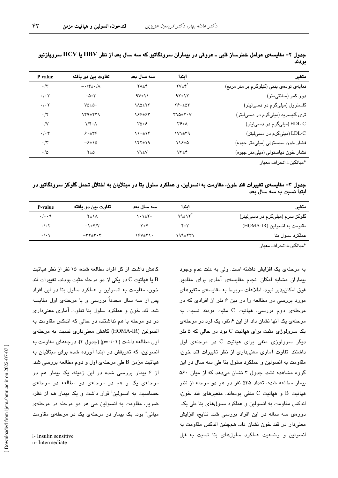| .          | .                                  |                   |                                        | $\frac{1}{2}$ $\frac{1}{2}$ $\frac{1}{2}$ $\frac{1}{2}$ $\frac{1}{2}$ $\frac{1}{2}$ $\frac{1}{2}$ $\frac{1}{2}$ $\frac{1}{2}$ $\frac{1}{2}$ $\frac{1}{2}$ $\frac{1}{2}$ $\frac{1}{2}$ $\frac{1}{2}$ $\frac{1}{2}$ $\frac{1}{2}$ $\frac{1}{2}$ $\frac{1}{2}$ $\frac{1}{2}$ $\frac{1}{2}$ $\frac{1}{2}$ $\frac{1}{2}$<br>$\ddot{\phantom{a}}$<br>بودند |
|------------|------------------------------------|-------------------|----------------------------------------|------------------------------------------------------------------------------------------------------------------------------------------------------------------------------------------------------------------------------------------------------------------------------------------------------------------------------------------------------|
| value      | تفاوت بین دو یافته                 | سه سال بعد        | اىتدا                                  | متغير                                                                                                                                                                                                                                                                                                                                                |
| $\cdot$ /۳ | $-\cdot$ /۴ $\pm \cdot$ / $\wedge$ | $Y \Lambda \pm Y$ | $\mathsf{Y} \mathsf{Y} \pm \mathsf{Y}$ | نمایهی تودهی بدنی (کیلوگرم بر متر مربع)                                                                                                                                                                                                                                                                                                              |

| جدول ۲– مقایسهی عوامل خطرساز قلبی ــ عروقی در بیماران سرونگاتیو که سه سال بعد از نظر HBV یا HCV سروپازتیو |  |       |
|-----------------------------------------------------------------------------------------------------------|--|-------|
|                                                                                                           |  | بودند |

W A q B@q)) BWq)W j 12Ji E W @q )qW W%q j 1J

6 V17i> /7 تری گلیسرید (میلیگرم در دسی[یتر) سنسک ۲۱۵±۲۰۷ (۲۴۹–۱۶۶ )۰/۲ $\zeta$ ۲۳۹ )۰/۲ $\zeta$ @ ) q %q % q j 1J

6 V17i'( .۰۴ )۱۰±۱۴ (میلیگرم در دسی(لیتر) (۲۹ - ۲۹ )۱۱۰±۱۴ (۲۹ ) (۲۹ ) (۲۰ ) (۲۰ ) (۲۰ ) (۲۰ ) (۲۰ ) (۲۰ ) (۲۰ ) (۲۰ ) ( A%q) )WWq)B ))% q j80K 17i10/J04:

W q @) @q @ q j80K 17i10J
04:

\*مبانگین± انجر اف معبار

جدول ۳– مقایسهی تغییرات قند خون، مقاومت به انسولین، و عملکرد سلول بتا در مبتلایان به اختلال تحمل گلوکز سرونگاتیو در ابتدا نسبت به سه سال بعد

| متغير                          | امتدا                    | سه سال بعد      | تفاوت بين دو يافته                       | P-value                   |
|--------------------------------|--------------------------|-----------------|------------------------------------------|---------------------------|
| گلوکز سرم (میلیگرم در دسیلیتر) | 99 $\pm$ 17 <sup>°</sup> | <b>1.1±۲۰</b>   | ۲±۱۸                                     | $\cdot/\cdot\cdot$        |
| مقاومت به انسولين (HOMA-IR)    | ۴±۳                      | $\mathbf{y}$    | $-\lambda \pm \mathfrak{r}/\mathfrak{r}$ | $\cdot$ / $\cdot$ $\cdot$ |
| عملکرد سلول بتا                | 199±۲۳۱                  | <b>۱۶</b> ۷±۳۱۰ | $-\tau\tau_{\pm}\tau\cdot\tau$           | $\cdot/\cdot$             |
|                                |                          |                 |                                          |                           |

\*مبانگین± انجر اف معبار

به مرحلهی یک افزایش داشته است. ولی به علت عدم وجود بیماران مشابه امکان انجام مقایسهی آماری برای مقادیر فوق امکان،ذیر نبود. اطلاعات مربوط به مقایسهی متغیرهای مورد بررسی در مطالعه را در بین ۶ نفر از افرادی که در  $\mathbf c$  مرحلهی دوم بررسی، هیاتیت  $\mathbf c$  مثبت بودند نسبت به مرحلهی یک انها نشان داد. از این ۶ نفر، یک فرد در مرحلهی یک سرولوژی مثبت برای هپاتیت C بود در حالی که ۵ نفر دیگر سرولوژی منفی برای هیاتیت C در مرحلهی اول داشتند. تفاوت آماری معنیداری از نظر تغییرات قند خون، مقاومت به انسولین و عملکرد سلول بتا طی سه سال در این گروه مشاهده نشد. جدول ۳ نشان میدهد که از میان ۵۶۰ بیمار مطالعه شده، تعداد ۵۴۵ نفر در هر دو مرحله از نظر  $\cdot$ هپاتیت  $\overline{B}$  و هپاتیت  $C$  منفی بودهاند. متغیرهای قند خون اندکس مقاومت به انسولین و عملکرد سلولهای بتا طی یک دورهی سه ساله در این افراد بررسی شد. نتایج، افزایش معنىدار در قند خون نشان داد. همچنین اندکس مقاومت به انسولین و وضعیت عملکرد سلولهای بتا نسبت به قبل

کاهش داشت. از کل افراد مطالعه شده، ۱۵ نفر از نظر هپاتیت یا هیاتیت C در یکی از دو مرحله مثبت بودند. تغییرات قند B خون، مقاومت به انسولین و عملکرد سلول بتا در این افراد پس از سه سال مجدداً بررسی و با مرحلهی اول مقایسه شد. قند خون و عملکرد سلول بتا تفاوت آماری معنیداری در دو مرحله با هم نداشتند، در حالی که اندکس مقاومت به انسولین (HOMA-IR) کاهش معنیداری نسبت به مرحلهی اول مطالعه داشت (p=٠/٠۴) (جدول ۴). درجههای مقاومت به انسولین، که تعریفش در ابتدا آورده شده برای مبتلایان به  $\rm B$  هپاتیت مزمن  $\rm B$  طی مرحلهی اول و دوم مطالعه بررسی شد. از ۶ بیمار بررسی شده در این زمینه، یک بیمار هم در مرحلهی یک و هم در مرحلهی دو مطالعه در مرحلهی حساسیت به انسولین<sup>:</sup> قرار داشت و یک بیمار هم از نظر، ضريب مقاومت به انسولين طي هر دو مرحله در مرحلهي میانی" بود. یک بیمار در مرحلهی یک در مرحلهی مقاومت

**P** value

i- Insulin sensitive

ii- Intermediate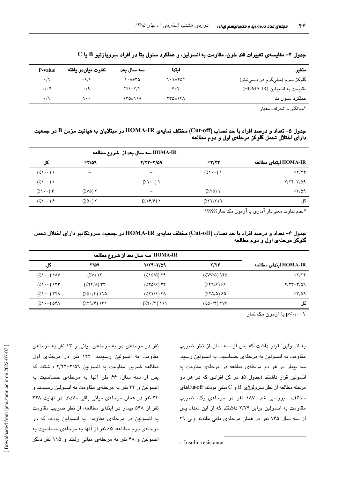| متغير                          | اىتدا                            | اسه سال بعد                   | تفاوت مياندو يافته         | P-value     |
|--------------------------------|----------------------------------|-------------------------------|----------------------------|-------------|
| گلوکز سرم (میلیگرم در دسیلیتر) | $\lambda \cdot \lambda \pm 70^*$ | $\lambda + \lambda + \lambda$ | $-\mathcal{F}/\mathcal{F}$ | $\cdot/$    |
| مقاومت به انسولين (HOMA-IR)    | ۴±۲                              | $Y/\lambda \pm Y/Y$           | $\cdot$ /9                 | $.$ / $.$ ۴ |
| عملکرد سلول بتا                | <b>TTO±161</b>                   | ١٣٥±١١٨                       | ۰۰ ۱                       | $\cdot$ /   |

 $\rm C$  جدول ۴– مقايسهي تغييرات قند خون، مقاومت به انسولين، و عملكرد سلول بتا در افراد سروپازتيو  $\rm B$  يا

\*ميانگين± انحراف معيار

### جدول ۵– تعداد و درصد افراد با حد نصاب (Cut-off) مختلف نمایهی HOMA-IR در مبتلایان به هپاتیت مزمن B در جمعیت دارای اختلال تحمل گلوکز مرحلهی اول و دوم مطالعه

| کل                                  | >7/09                | $Y/YY-Y/\Omega$ 9                 | $<$ ۲/۲۴                                                   | HOMA-IR ابتداى مطالعه |
|-------------------------------------|----------------------|-----------------------------------|------------------------------------------------------------|-----------------------|
| $(\lambda \setminus \cdot \cdot)$   |                      |                                   | $(\lambda \setminus \cdot \cdot)$                          | $<$ ۲/۲۴              |
| $(\lambda \setminus \cdot \cdot)$   |                      | $(\lambda \setminus \cdot \cdot)$ |                                                            | $Y/YY-Y/\Omega$ 9     |
| $(\lambda \setminus \cdot \cdot)$ ۴ | ۲ (۷۵٪)              |                                   | (7.70)                                                     | $>$ $\frac{1}{0}$     |
| $(\lambda \setminus \cdot \cdot)$ ۶ | $(7.0 \cdot)$ $\tau$ | $(\lambda \frac{5}{2})$           | $(\frac{1}{2}\nabla \mathbf{r} + \mathbf{r})$ $\mathbf{r}$ | کل                    |

\*عدم تفاوت معنیدار آماری با آزمون مک نمار؟؟؟؟؟؟

## جدول ۶- تعداد و درصد افراد با حد نصاب (Cut-off) مختلف نمایهی HOMA-IR در جمعیت سرونگاتیو دارای اختلال تحمل گلوکز مرحلهی اول و دوم مطالعه

| کل                                                                    | ۳/۵۹                                                                                                                                                                                                                                                                                                                                                                                          | 7/۲۴-۳/۵۹                                                     | 7/74                                                | HOMA-IR اىتداى مطالعه                |
|-----------------------------------------------------------------------|-----------------------------------------------------------------------------------------------------------------------------------------------------------------------------------------------------------------------------------------------------------------------------------------------------------------------------------------------------------------------------------------------|---------------------------------------------------------------|-----------------------------------------------------|--------------------------------------|
| $(\lambda \setminus \cdot \cdot) \setminus \wedge \vee$               | $(Y,Y)$ $Y'$                                                                                                                                                                                                                                                                                                                                                                                  | $(\frac{1}{200})$ 19                                          | $(\frac{1}{2}VV/\Delta)$ ) $Y\Delta$                | $<$ $\uparrow$ $\uparrow$ $\uparrow$ |
| $(\lambda \setminus \cdot \cdot)$ $\setminus$ $\setminus$ $\setminus$ | $(\frac{1}{2}(\lambda) + \lambda)$                                                                                                                                                                                                                                                                                                                                                            | $(X \cap \mathcal{S})$ $Y \cap \mathcal{S}$                   |                                                     | $Y/YY-Y/\Omega$ 9                    |
| $(\lambda \setminus \cdot \cdot)$ $\forall \forall \lambda$           | $(\frac{1}{2} \Delta \cdot (\mathfrak{f}) \setminus \Delta)$                                                                                                                                                                                                                                                                                                                                  | $(\frac{1}{2}(\frac{1}{2}(\frac{1}{2})))$ $f \wedge$          | $(\frac{1}{2}(\frac{1}{2}(\Delta)^{2})$ $\approx$ 0 | $>$ $\frac{1}{0}$                    |
| $(\lambda \setminus \cdot \cdot)$ of $\lambda$                        | $(\frac{1}{2}(\frac{1}{2}(\frac{1}{2}+\frac{1}{2}(\frac{1}{2}+\frac{1}{2}+\frac{1}{2}+\frac{1}{2}+\frac{1}{2}+\frac{1}{2}+\frac{1}{2}+\frac{1}{2}+\frac{1}{2}+\frac{1}{2}+\frac{1}{2}+\frac{1}{2}+\frac{1}{2}+\frac{1}{2}+\frac{1}{2}+\frac{1}{2}+\frac{1}{2}+\frac{1}{2}+\frac{1}{2}+\frac{1}{2}+\frac{1}{2}+\frac{1}{2}+\frac{1}{2}+\frac{1}{2}+\frac{1}{2}+\frac{1}{2}+\frac{1}{2}+\frac{$ | $(\frac{1}{2}(\mathbf{Y}\cdot\mathbf{Y})\setminus\mathbf{Y})$ | $(\sqrt{2} \cdot 5 \cdot 7)$ TVS                    | کل                                   |

 $p<\cdot/\cdot\cdot$ با آزمون مک نمار

به انسولین<sup>:</sup> قرار داشت که پس از سه سال از نظر ضریب مقاومت به انسولین به مرحلهی حساسیت به انسولین رسید. سه بیمار در هر دو مرحلهی مطالعه در مرحلهی مقاومت به انسولین قرار داشتند (جدول ۵). در کل افرادی که در هر دو مرحله مطالعه از نظر سرولوژی B و C منفی بودند، Cut-offکهای مختلف بررسی شد. ۱۸۷ نفر در مرحلهی یک، ضریب مقاومت به انسولین برابر ۲/۲۴ داشتند که از این تعداد پس از سه سال ۱۴۵ نفر در همان مرحلهی باقی ماندند ولی ۲۹

نفر در مرحلهی دو به مرحلهی میانی و ۱۳ نفر به مرحلهی مقاومت به انسولین رسیدند. ۱۳۳ نفر در مرحلهی اول مطالعه ضريب مقاومت به انسولين ٣/٥٩-٢/٢٣ داشتند كه یس از سه سال، ۶۶ نفر آنها به مرحلهی حساسیت به انسولین و ۳۳ نفر به مرحلهی مقاومت به انسولین رسیدند و ٣۴ نفر در همان مرحلهى ميانى باقى ماندند. در نهايت ٢٢٨ نفر از ۵۴۸ بیمار در ابتدای مطالعه، از نظر ضریب مقاومت به انسولین در مرحلهی مقاومت به انسولین بودند که در مرحلهی دوم مطالعه، ۶۵ نفر از آنها به مرحلهی حساسیت به انسولین و ۴۸ نفر به مرحلهی میانی رفتند و ۱۱۵ نفر دیگر

i-Insulin resistance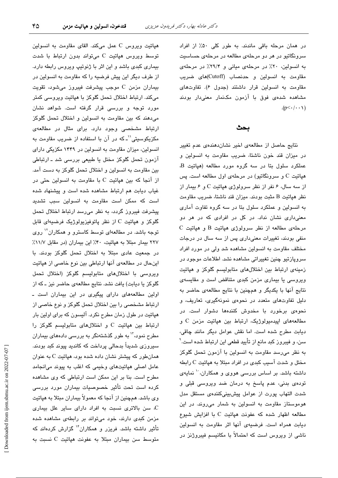در همان مرحله باقی ماندند. به طور کلی ۵۰٪ از افراد سرونگاتیو در هر دو مرحلهی مطالعه در مرحلهی حساسیت به انسولین، ٢٠٪ در مرحلهی میانی و ٢٩/۴٪ در مرحلهی مقاومت به انسولین و حدنصاب (Cutoff)های ضریب مقاومت به انسولین قرار داشتند (جدول ۶). تفاوتهای مشاهده شدهی فوق با آزمون مکنمار معنیدار بودند  $(p<\cdot/\cdot\cdot)$ 

#### ىحث

نتایج حاصل از مطالعهی اخیر نشان دهندهی عدم تغییر در میزان قند خون ناشتا، ضریب مقاومت به انسولین و عملکرد سلول بتا در سه گروه مورد مطالعه (هپاتیت B، هپاتیت C و سرونگاتیو) در مرحلهی اول مطالعه است. پس از سه سال، ۶ نفر از نظر سرولوژی هپاتیت C و ۶ بیمار از نظر هپاتیت B مثبت بودند. میزان قند ناشتا، ضریب مقاومت به انسولین و عملکرد سلول بتا در سه گروه تفاوت آماری معنیداری نشان نداد. در کل در افرادی که در هر دو  $C$  مرحلهی مطالعه از نظر سرولوژی هپاتیت  $B$  و هپاتیت منفی بودند، تغییرات معنیداری پس از سه سال در درجات مختلف مقاومت به انسولین مشاهده شد ولی در مورد افراد سروپازتیو چنین تغییراتی مشاهده نشد. اطلاعات موجود در زمینهی ارتباط بین اختلالهای متابولیسم گلوکز و هپاتیت ویروسی یا بیماری مزمن کبدی متناقض است و مقایسهی نتايج آنها با يكديگر و همچنين با نتايج مطالعهي حاضر به دلیل تفاوتهای متعدد در نحوهی نمونهگیری، تعاریف، و نحوهی برخورد با مخدوش کنندهها دشوار است. در مطالعههای اپیدمیولوژیک، ارتباط بین هپاتیت مزمن C و دیابت مطرح شده است. اما نقش عوامل دیگر مانند چاقی، سن، و فیبروز کبد مانع از تأیید قطعی این ارتباط شده است. ٌ به نظر میرسد مقاومت به انسولین با آزمون تحمل گلوکز مختل و شدت آسیب کبدی در افراد مبتلا به هپاتیت C رابطه داشته باشد. بر اساس بررسی هووی و همکاران، `` نمایهی تودهی بدنی، عدم پاسخ به درمان ضد ویروسی قبلی و شدت التهاب پورت از عوامل پیشبینیکنندهی مستقل مدل هوموستاز مقاومت به انسولین به شمار میروند. در این مطالعه اظهار شده كه عفونت هياتيت C با افزايش شيوع دیابت همراه است. فرضیهی آنها اثر مقاومت به انسولین ناشی از ویروس است که احتمالاً با مکانیسم فیبروژنز در

هپاتیت ویروس C عمل میکند. القای مقاومت به انسولین توسط ویروس هپاتیت C میتواند بدون ارتباط با شدت بیماری کبدی باشد و این اثر با ژنوتیپ ویروس رابطه دارد. از طرف دیگر این پیش فرضیه را که مقاومت به انسولین در بیماران مزمن C موجب پیشرفت فیبروز میشود، تقویت میکند. ارتباط اختلال تحمل گلوکز با هپاتیت ویروسی کمتر مورد توجه و بررسی قرار گرفته است. شواهد نشان می دهند که بین مقاومت به انسولین و اختلال تحمل گلوکز ارتباط مشخصی وجود دارد. برای مثال در مطالعهی مکزیکوسیتی``ـ که در آن با استفاده از ضریب مقاومت به انسولین، میزان مقاومت به انسولین در ۱۴۴۹ مکزیکی دارای آزمون تحمل گلوکز مختل یا طبیعی بررسی شد ـ ارتباطی بین مقاومت به انسولین و اختلال تحمل گلوکز به دست آمد. از آنجا که بین هپاتیت C با مقاومت به انسولین حتی در غیاب دیابت هم ارتباط مشاهده شده است و پیشنهاد شده است كه ممكن است مقاومت به انسولين سبب تشديد پیشرفت فیبروز گردد، به نظر میرسد ارتباط اختلال تحمل گلوکز و هپاتیت C از نظر پاتوفیزیولوژیک فرضیهای قابل توجه باشد. در مطالعهای توسط کاسترو و همکاران<sup>۱٬</sup> روی ٢٢٧ بيمار مبتلا به هپاتيت، ۴٠٪ اين بيماران (در مقابل ١١/٧٪ در جمعت عادی مبتلا به اختلال تحمل گلوکز بودند. با اینحال در مطالعهی آنها ارتباطی بین نوع خاصی از هپاتیت ویروسی با اختلالهای متابولیسم گلوکز (اختلال تحمل گلوکز یا دیابت) یافت نشد. نتایج مطالعهی حاضر نیز ـ که از اولین مطالعههای دارای پیگیری در این بیماران است ـ ارتباط مشخصی را بین اختلال تحمل گلوکز و نوع خاصی از هپاتیت در طول زمان مطرح نکرد. آلیسون که برای اولین بار ارتباط بين هياتيت C و اختلال هاى متابوليسم گلوكز را مطرح نمود،<sup>۱۲</sup> به طور گذشتهنگر به بررس*ی* دادههای بیماران سیروزی شدیداً بدحالی پرداخت که کاندید پیوند کبد بودند. همانطور که پیشتر نشان داده شده بود، هپاتیت C به عنوان عامل اصلی هپاتیتهای وخیمی که اغلب به پیوند میانجامد مطرح است. بنا بر این ممکن است ارتباطی که وی مشاهده کرده است تحت تأثیر خصوصیات بیماران مورد بررسی وی باشد. همچنین از آنجا که معمولاً بیماران مبتلا به هپاتیت . سن بالاترى نسبت به افراد داراى ساير علل بيمارى مزمن کبدی دارند، خود میتواند بر رابطهی مشاهده شده تأثیر داشته باشد. فریزر و همکاران<sup>۱۴</sup> گزارش کردهاند که متوسط سن بیماران مبتلا به عفونت هپاتیت C نسبت به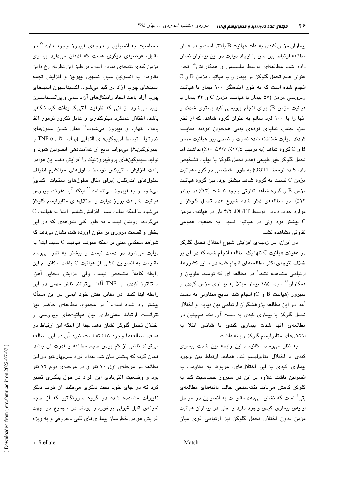بیماران مزمن کبدی به علت هپاتیت B بالاتر است و در همان مطالعه ارتباط بین سن با ایجاد دیابت در این بیماران نشان داده شد. مطالعهای توسط مانسیس و همکارانش<sup>۱۵</sup> تحت  $C$  عنوان عدم تحمل گلوکز در بیماران با هپاتیت مزمن B و انجام شده است که به طور آیندهنگر ۱۰۰ بیمار با هپاتیت ویروسی مزمن (۵۷ بیمار با هپاتیت مزمن C و ۴۳ بیمار با هپاتیت مزمن B) برای انجام بیوپسی کبد بستری شدند و آنها را با ۱۰۰ فرد سالم به عنوان گروه شاهد، که از نظر سن، جنس، نمایهی تودهی بدنی همخوان <sup>ن</sup>بودند مقایسه كردند. ديابت شناخته شده تفاوت واضحى بين هپاتيت مزمن  $C$  و  $C$  گروه شاهد (به ترتیب ۱۲/۵٪، ۴/۷٪، ۱۰٪) نداشت اما تحمل گلوکز غیر طبیعی (عدم تحمل گلوکز یا دیابت تشخیص داده شده توسط OGTT) به طور مشخصی در گروه هیاتیت مزمن C نسبت به گروه شاهد بیشتر بود. بین گروه هپاتیت مزمن B و گروه شاهد تفاوتی وجود نداشت (۱۴٪ در برابر ۰۱۴٪). در مطالعهی ذکر شده شیوع عدم تحمل گلوکز و موارد جدید دیابت توسط OGTT، ۴/۲ بار در هپاتیت مزمن ریشتر بود ولی در هپاتیت نسبت به جمعیت عمومی C تفاوتی مشاهده نشد.

در ایران، در زمینهی افزایش شیوع اختلال تحمل گلوکز در عفونت هپاتیت C تنها یک مطالعه انجام شده که در آن بر خلاف نتیجهی اکثر مطالعههای انجام شده در سایر کشورها، ارتباطی مشاهده نشد.^ در مطالعه ای که توسط علویان و همکاران ٔ روی ۱۸۵ بیمار مبتلا به بیماری مزمن کبدی و سیروز (هپاتیت B و C) انجام شد، نتایج متفاوتی به دست آمد. در این مطالعه پژوهشگران ارتباطی بین دیابت و اختلال تحمل گلوکز با بیماری کبدی به دست آوردند. همچنین در مطالعهی آنها شدت بیماری کبدی با شانس ابتلا به اختلال های متابولیسم گلوکز رابطه داشت.

به نظر می رسد مکانیسم این رابطه بین شدت بیماری کبدی با اختلال متابولیسم قند، همانند ارتباط بین وجود بیماری کبدی با این اختلال های، مربوط به مقاومت به انسولین باشد. علاوه بر این در سیروز حساسیت کبد به گلوكز كاهش مىيابد. نكتەسنجى جالب يافتە*ھاى* مطالعە*ى* پتی ٔ است که نشان میدهد مقاومت به انسولین در مراحل اولیهی بیماری کبدی وجود دارد و حتی در بیماران هپاتیت مزمن بدون اختلال تحمل گلوکز نیز ارتباطی قوی میان

حساسیت به انسولین و درجهی فیبروز وجود دارد.<sup>۱۷</sup> در مقابل، فرضیهی دیگری هست که اذعان میدارد بیماری مزمن کبدی نتیجهی دیابت است. بر طبق این نظریه، رخ دادن مقاومت به انسولین سبب تسهیل لیپولیز و افزایش تجمع اسپدهای چرب آزاد در کبد میشود. اکسپداسپون اسپدهای چرب آزاد باعث ایجاد رادیکالهای آزاد سمی و پراکسیداسیون لیپید میشود. زمانی که ظرفیت آنتیاکسیدانت کبد ناکافی باشد، اختلال عملکرد میتوکندری و عامل نکروز تومور آلفا باعث التهاب و فيبروز مىشود. ١٨ فعال شدن سلولهاى اندوتليال توسط اديپوكينهاى التهابي (براي مثال TNF-α يا اینترلوکین-۶) میتواند مانع از علامتدهی انسولین شود و تولید سیتوکینهای پروفیبروژنیک را افزایش دهد. این عوامل باعث افزایش ماتریکس توسط سلولهای مزانشیم اطراف سلولهای اندوتلیال (برای مثال سلولهای ستلیات<sup>ة</sup> کبدی) می شود و به فیبروز می انجامد. ۱٬ اینکه آیا عفونت ویروس هپاتیت C باعث بروز دیابت و اختلالهای متابولیسم گلوکز C می شود یا اینکه دیابت سبب افزایش شانس ابتلا به هپاتیت میگردد، روشن نیست. به طور کلی شواهدی که در این بخش و قسمت مروری بر متون آورده شد، نشان میدهد که شواهد محکمی مبنی بر اینکه عفونت هپاتیت C سبب ابتلا به دیابت می شود در دست نیست و بیشتر به نظر می رسد مقاومت به انسولین ناشی از هپاتیت C باشد. مکانیسم این رابطه كاملاً مشخص نيست ولى افزايش ذخاير آهن، استئاتوز کبدی، یا TNF آلفا میتوانند نقش مهمی در این رابطه ایفا کنند. در مقابل نقش خود ایمنی در این مسأله پیشتر رد شده است.<sup>۲۰</sup> در مجموع، مطالعهی حاضر نیز .<br>نتوانست ارتباط معنیداری بین هپاتیتهای ویروسی و اختلال تحمل گلوکز نشان دهد. جدا از اینکه این ارتباط در همهی مطالعهها وجود نداشته است، نبود آن در این مطالعه میتواند ناشی از کم بودن حجم مطالعه و قدرت آن باشد. همان گونه که پیشتر بیان شد تعداد افراد سروپازیتیو در این مطالعه در مرحلهی اول ١٠ نفر و در مرحلهی دوم ١٢ نفر بود و وضعیت آنتیبادی این افراد در طول پیگیری تغییر کرد که در جای خود بحث دیگری میطلبد. از طرف دیگر تغییرات مشاهده شده در گروه سرونگاتیو که از حجم نمونهی قابل قبولی برخوردار بودند در مجموع در جهت افزایش عوامل خطرساز بیماریهای قلبی ـ عروقی و به ویژه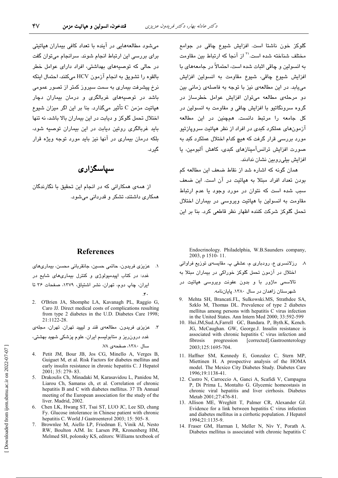گىر د.

می شود مطالعههایی در آینده با تعداد کافی بیماران هیاتیتی

برای بررسی این ارتباط انجام شوند. سرانجام می توان گفت

در حالی که توصیههای بهداشتی، افراد دارای عوامل خطر

بالقوه را تشويق به انجام آزمون HCV ميكنند، احتمال اينكه

نرخ پیشرفت بیماری به سمت سیروز کمتر از تصور عمومی

باشد در توصیههای غربالگری و درمان بیماران دچار

هياتيت مزمن C تأثير ميگذارد. بنا بر اين اگر ميزان شيوع

اختلال تحمل گلوکز و دیابت در این بیماران بالا باشد، نه تنها باید غربالگری روتین دیایت در این بیماران توصیه شود،

بلکه درمان بیماری در آنها نیز باید مورد توجه ویژه قرار

سياسگزاري

از همهی همکارانی که در انجام این تحقیق با نگارندگان

گلوکز خون ناشتا است. افزایش شیوع چاقی در جوامع مختلف شناخته شده است.'` از آنجا که ارتباط بین مقاومت به انسولین و چاقی اثبات شده است، احتمالاً در جامعههای با افزايش شيوع چاقى، شيوع مقاومت به انسولين افزايش میبابد. در این مطالعهی نیز با توجه به فاصلهی زمانی بین دو مرحلهی مطالعه می توان افزایش عوامل خطرساز در گروه سرونگاتیو با افزایش چاقی و مقاومت به انسولین در کل جامعه را مرتبط دانست. همچنین در این مطالعه آزمونهای عملکرد کندی در افراد از نظر هیاتنت سرویازتنو مورد بررسی قرار گرفت که هیچ کدام اختلال عملکرد کبد به صورت افزایش ترانسآمینازهای کبدی، کاهش آلبومین، یا افزایش بیلی روبین نشان ندادند.

همان گونه که اشاره شد از نقاط ضعف این مطالعه کم بودن تعداد افراد مبتلا به هیاتیت در آن است. این ضعف سبب شده است که نتوان در مورد وجود یا عدم ارتباط مقاومت به انسولین با هپاتیت ویروسی در بیماران اختلال تحمل گلوکز شرکت کننده اظهار نظر قاطعی کرد. بنا بر این

همکاری داشتند، تشکر و قدر دانی می شود.

## **References**

١. عزيزي فريدون، حاتمي حسين، جانقرباني محسن، بيماريهاي غدد: در کتاب ایپدمیولوژی و کنترل بیماریهای شایع در ایران، چاپ دوم، تهران، نشر اشتیاق، ۱۳۷۹، صفحات ۳۶ تا  $\mathcal{F}$ 

2. O'Brien JA, Shomphe LA, Kavanagh PL, Raggio G, Caro JJ. Direct medical costs of complications resulting from type 2 diabetes in the U.D. Diabetes Care 1998; 21:1122-28.

۳. عزیزی فریدون. مطالعهی قند و لیپید تهران. تهران، مجلهی

غدد درونرریز و متابولیسم ایران، علوم پزشکی شهید بهشتی،

سال ١٣٨٠، صفحهي ٧٨.

- 4. Petit JM, Bour JB, Jos CG, Minello A, Verges B, Guiguet M, et al. Risk Factors for diabetes mellitus and early insulin resistance in chronic hepatitis C. J Hepatol 2001; 35: 279-83.
- 5. Drakoulis Ch, Minadaki M, Karasavidou L, Panidou M, Liarou Ch, Samaras ch, et al. Correlation of chronic hepatitis B and C with diabetes mellitus. 37 Th Annual meeting of the European association for the study of the liver. Madrid, 2002.
- 6. Chen LK, Hwang ST, Tsai ST, LUO JC, Lee SD, chang Fy. Glucose intolerance in Chinese patient with chronic hepatitis C. World J Gastroenterol 2003; 15: 505-8.
- 7. Brownlee M, Aiello LP, Friedman E, Vinik AI, Nesto RW, Boulton AJM. In: Larsen PR, Kronenberg HM, Melmed SH, polonsky KS, editors: Williams textbook of

Endocrinology. Philadelphia, W.B.Saunders company, 2003, p 1510-11.

٨- رزلانسري ع، رودباري م، عشقي پ. مقايسهي توزيع فراواني اختلال در آزمون تحمل گلوکز خوراکی در بیماران مبتلا به

تالاسمی ماژور با و بدون عفونت ویروسی هپاتیت در

شهرستان زاهدان در سال ۱۳۸۰. پایاننامه.

- 9. Mehta SH, Brancati.FL, Sulkowski.MS, Strathdee SA, Szklo M, Thomas DL. Prevalence of type 2 diabetes mellitus among persons with hepatitis C virus infection in the United States. Ann Intern Med 2000; 33:592-599
- 10. Hui.JM, Sud.A, Farrell GC, Bandara. P, Byth.K, Kench. JG, McCaughan. GW, George.J. Insulin resistance is associated with chronic hepatitis C virus infection and [corrected].Gastroenterology fibrosis progression 2003;125:1695-704.
- 11. Haffner SM, Kennedy E, Gonzalez C, Stern MP, Miettinen H. A prospective analysis of the HOMA model. The Mexico City Diabetes Study. Diabetes Care 1996;19:1138-41.
- 12. Custro N, Carroccio A, Ganci A, Scafidi V, Campagna P, Di Prima L, Montalto G. Glycemic homeostasis in chronic viral hepatitis and liver cirrhosis. Diabetes Metab 2001;27:476-81.
- 13. Allison ME, Wreghitt T, Palmer CR, Alexander GJ. Evidence for a link between hepatitis C virus infection and diabetes mellitus in a cirrhotic population. J Hepatol 1994;21:1135-9.
- 14. Fraser GM, Harman I, Meller N, Niv Y, Porath A. Diabetes mellitus is associated with chronic hepatitis C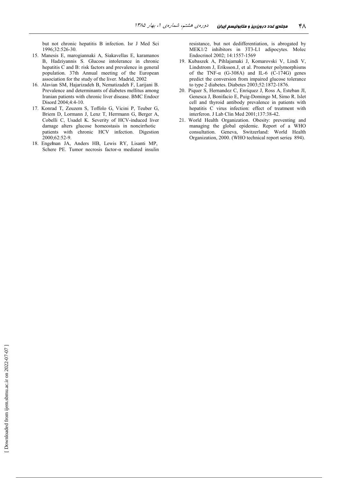but not chronic hepatitis B infection. Isr J Med Sci 1996;32:526-30.

- 15. Manesis E, marogiannaki A, Siakavellas E, karamanos B, Hadziyannis S. Glucose intolerance in chronic hepatitis C and B: risk factors and prevalence in general population. 37th Annual meeting of the European association for the study of the liver. Madrid, 2002
- 16. Alavian SM, Hajarizadeh B, Nematizadeh F, Larijani B, Prevalence and determinants of diabetes mellitus among Iranian patients with chronic liver disease. BMC Endocr Disord 2004;4:4-10.
- 17. Konrad T, Zeuzem S, Toffolo G, Vicini P, Teuber G, Briem D, Lormann J, Lenz T, Herrmann G, Berger A, Cobelli C, Usadel K. Severity of HCV-induced liver damage alters glucose homeostasis in noncirrhotic patients with chronic HCV infection. Digestion 2000;62:52-9.
- 18. Engelman JA, Anders HB, Lewis RY, Lisanti MP, Schere PE. Tumor necrosis factor- $\alpha$  mediated insulin

resistance, but not dedifferentiation, is abrogated by MEK1/2 inhibitors in 3T3-L1 adipocytes. Molec Endocrinol 2002; 14:1557-1569

- 19. Kubaszek A, Pihlajamaki J, Komarovski V, Lindi V, Lindstrom J, Eriksson.J, et al. Promoter polymorphisms of the TNF- $\alpha$  (G-308A) and IL-6 (C-174G) genes predict the conversion from impaired glucose tolerance to type 2 diabetes. Diabetes 2003;52:1872-1876.
- 20. Piquer S, Hernandez C, Enriquez J, Ross A, Esteban JI, Genesca J, Bonifacio E, Puig-Domingo M, Simo R. Islet cell and thyroid antibody prevalence in patients with hepatitis C virus infection: effect of treatment with interferon. J Lab Clin Med 2001;137:38-42.
- 21. World Health Organization. Obesity: preventing and managing the global epidemic. Report of a WHO consultation. Geneva, Switzerland: World Health Organization, 2000. (WHO technical report series 894).